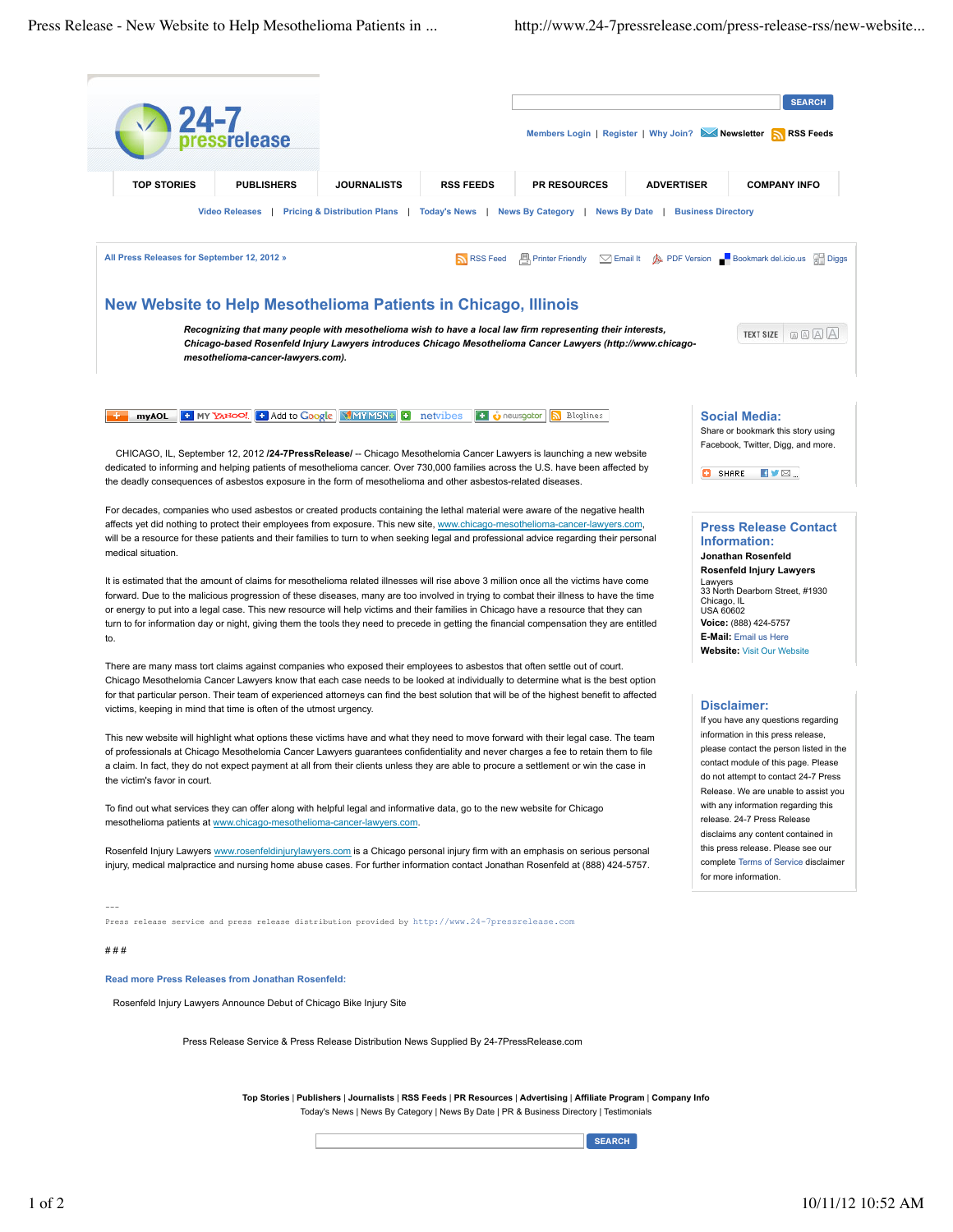